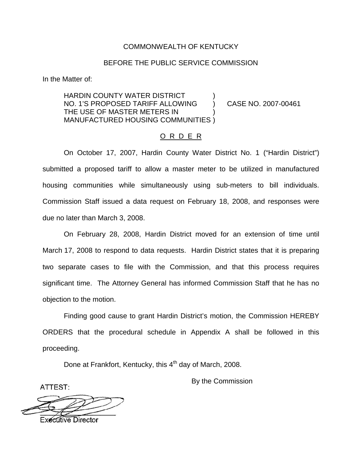## COMMONWEALTH OF KENTUCKY

## BEFORE THE PUBLIC SERVICE COMMISSION

In the Matter of:

HARDIN COUNTY WATER DISTRICT ) NO. 1'S PROPOSED TARIFF ALLOWING ) CASE NO. 2007-00461 THE USE OF MASTER METERS IN ) MANUFACTURED HOUSING COMMUNITIES )

#### O R D E R

On October 17, 2007, Hardin County Water District No. 1 ("Hardin District") submitted a proposed tariff to allow a master meter to be utilized in manufactured housing communities while simultaneously using sub-meters to bill individuals. Commission Staff issued a data request on February 18, 2008, and responses were due no later than March 3, 2008.

On February 28, 2008, Hardin District moved for an extension of time until March 17, 2008 to respond to data requests. Hardin District states that it is preparing two separate cases to file with the Commission, and that this process requires significant time. The Attorney General has informed Commission Staff that he has no objection to the motion.

Finding good cause to grant Hardin District's motion, the Commission HEREBY ORDERS that the procedural schedule in Appendix A shall be followed in this proceeding.

Done at Frankfort, Kentucky, this 4<sup>th</sup> day of March, 2008.

By the Commission

ATTEST: